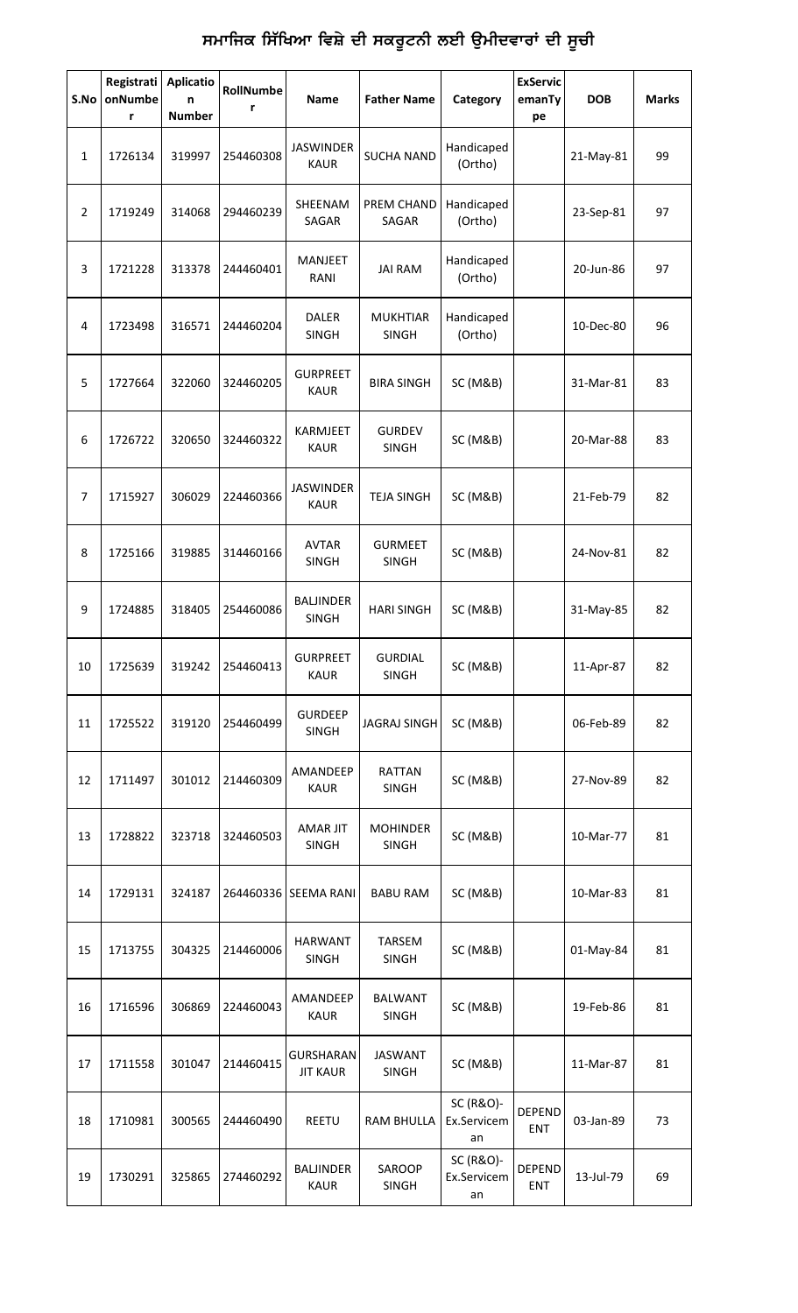## ਸਮਾਜਿਕ ਸਿੱਖਿਆ ਵਿਸ਼ੇ ਦੀ ਸਕਰੂਟਨੀ ਲਈ ਉਮੀਦਵਾਰਾਂ ਦੀ ਸੂਚੀ

| S.No           | Registrati<br>onNumbe<br>r | <b>Aplicatio</b><br>n<br><b>Number</b> | RollNumbe<br>r | Name                             | <b>Father Name</b>              | Category                       | <b>ExServic</b><br>emanTy<br>pe | <b>DOB</b> | <b>Marks</b> |
|----------------|----------------------------|----------------------------------------|----------------|----------------------------------|---------------------------------|--------------------------------|---------------------------------|------------|--------------|
| 1              | 1726134                    | 319997                                 | 254460308      | <b>JASWINDER</b><br><b>KAUR</b>  | <b>SUCHA NAND</b>               | Handicaped<br>(Ortho)          |                                 | 21-May-81  | 99           |
| 2              | 1719249                    | 314068                                 | 294460239      | SHEENAM<br>SAGAR                 | PREM CHAND<br>SAGAR             | Handicaped<br>(Ortho)          |                                 | 23-Sep-81  | 97           |
| 3              | 1721228                    | 313378                                 | 244460401      | <b>MANJEET</b><br>RANI           | <b>JAI RAM</b>                  | Handicaped<br>(Ortho)          |                                 | 20-Jun-86  | 97           |
| 4              | 1723498                    | 316571                                 | 244460204      | <b>DALER</b><br><b>SINGH</b>     | <b>MUKHTIAR</b><br><b>SINGH</b> | Handicaped<br>(Ortho)          |                                 | 10-Dec-80  | 96           |
| 5              | 1727664                    | 322060                                 | 324460205      | <b>GURPREET</b><br><b>KAUR</b>   | <b>BIRA SINGH</b>               | <b>SC (M&amp;B)</b>            |                                 | 31-Mar-81  | 83           |
| 6              | 1726722                    | 320650                                 | 324460322      | KARMJEET<br><b>KAUR</b>          | <b>GURDEV</b><br><b>SINGH</b>   | SC (M&B)                       |                                 | 20-Mar-88  | 83           |
| $\overline{7}$ | 1715927                    | 306029                                 | 224460366      | <b>JASWINDER</b><br><b>KAUR</b>  | <b>TEJA SINGH</b>               | <b>SC (M&amp;B)</b>            |                                 | 21-Feb-79  | 82           |
| 8              | 1725166                    | 319885                                 | 314460166      | <b>AVTAR</b><br><b>SINGH</b>     | <b>GURMEET</b><br><b>SINGH</b>  | SC (M&B)                       |                                 | 24-Nov-81  | 82           |
| 9              | 1724885                    | 318405                                 | 254460086      | <b>BALJINDER</b><br><b>SINGH</b> | <b>HARI SINGH</b>               | <b>SC (M&amp;B)</b>            |                                 | 31-May-85  | 82           |
| 10             | 1725639                    | 319242                                 | 254460413      | <b>GURPREET</b><br><b>KAUR</b>   | <b>GURDIAL</b><br><b>SINGH</b>  | SC (M&B)                       |                                 | 11-Apr-87  | 82           |
| 11             | 1725522                    | 319120                                 | 254460499      | <b>GURDEEP</b><br>SINGH          | <b>JAGRAJ SINGH</b>             | <b>SC (M&amp;B)</b>            |                                 | 06-Feb-89  | 82           |
| 12             | 1711497                    | 301012                                 | 214460309      | AMANDEEP<br><b>KAUR</b>          | <b>RATTAN</b><br><b>SINGH</b>   | <b>SC (M&amp;B)</b>            |                                 | 27-Nov-89  | 82           |
| 13             | 1728822                    | 323718                                 | 324460503      | <b>AMAR JIT</b><br><b>SINGH</b>  | <b>MOHINDER</b><br><b>SINGH</b> | <b>SC (M&amp;B)</b>            |                                 | 10-Mar-77  | 81           |
| 14             | 1729131                    | 324187                                 |                | 264460336 SEEMA RANI             | <b>BABU RAM</b>                 | <b>SC (M&amp;B)</b>            |                                 | 10-Mar-83  | 81           |
| 15             | 1713755                    | 304325                                 | 214460006      | <b>HARWANT</b><br><b>SINGH</b>   | TARSEM<br><b>SINGH</b>          | <b>SC (M&amp;B)</b>            |                                 | 01-May-84  | 81           |
| 16             | 1716596                    | 306869                                 | 224460043      | AMANDEEP<br><b>KAUR</b>          | <b>BALWANT</b><br><b>SINGH</b>  | <b>SC (M&amp;B)</b>            |                                 | 19-Feb-86  | 81           |
| 17             | 1711558                    | 301047                                 | 214460415      | GURSHARAN<br><b>JIT KAUR</b>     | <b>JASWANT</b><br><b>SINGH</b>  | <b>SC (M&amp;B)</b>            |                                 | 11-Mar-87  | 81           |
| 18             | 1710981                    | 300565                                 | 244460490      | REETU                            | <b>RAM BHULLA</b>               | SC (R&O)-<br>Ex.Servicem<br>an | <b>DEPEND</b><br>ENT            | 03-Jan-89  | 73           |
| 19             | 1730291                    | 325865                                 | 274460292      | <b>BALJINDER</b><br><b>KAUR</b>  | SAROOP<br><b>SINGH</b>          | SC (R&O)-<br>Ex.Servicem<br>an | <b>DEPEND</b><br>ENT            | 13-Jul-79  | 69           |